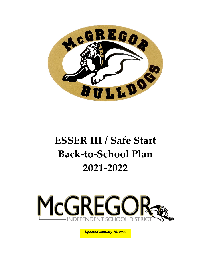

# **ESSER III / Safe Start Back-to-School Plan 2021-2022**



*Updated January 10, 2022 Updated January 10, 2021*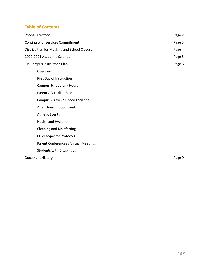# **Table of Contents**

| <b>Phone Directory</b>                       | Page 2 |  |  |  |
|----------------------------------------------|--------|--|--|--|
| Continuity of Services Commitment            |        |  |  |  |
| District Plan for Masking and School Closure | Page 4 |  |  |  |
| 2020-2021 Academic Calendar                  | Page 5 |  |  |  |
| On-Campus Instruction Plan                   | Page 6 |  |  |  |
| Overview                                     |        |  |  |  |
| First Day of Instruction                     |        |  |  |  |
| Campus Schedules / Hours                     |        |  |  |  |
| Parent / Guardian Role                       |        |  |  |  |
| Campus Visitors / Closed Facilities          |        |  |  |  |
| After Hours Indoor Events                    |        |  |  |  |
| <b>Athletic Events</b>                       |        |  |  |  |
| Health and Hygiene                           |        |  |  |  |
| <b>Cleaning and Disinfecting</b>             |        |  |  |  |
| <b>COVID-Specific Protocols</b>              |        |  |  |  |
| Parent Conferences / Virtual Meetings        |        |  |  |  |
| <b>Students with Disabilities</b>            |        |  |  |  |
| Document History                             | Page 9 |  |  |  |
|                                              |        |  |  |  |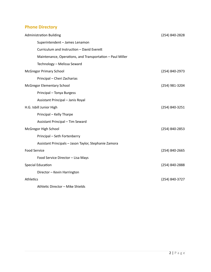# **Phone Directory**

| <b>Administration Building</b>                            | (254) 840-2828 |
|-----------------------------------------------------------|----------------|
| Superintendent - James Lenamon                            |                |
| Curriculum and Instruction - David Everett                |                |
| Maintenance, Operations, and Transportation - Paul Miller |                |
| Technology - Melissa Seward                               |                |
| <b>McGregor Primary School</b>                            | (254) 840-2973 |
| Principal - Cheri Zacharias                               |                |
| McGregor Elementary School                                | (254) 981-3204 |
| Principal - Tonya Burgess                                 |                |
| Assistant Principal - Janis Royal                         |                |
| H.G. Isbill Junior High                                   | (254) 840-3251 |
| Principal - Kelly Tharpe                                  |                |
| Assistant Principal - Tim Seward                          |                |
| McGregor High School                                      | (254) 840-2853 |
| Principal - Seth Fortenberry                              |                |
| Assistant Principals - Jason Taylor, Stephanie Zamora     |                |
| <b>Food Service</b>                                       | (254) 840-2665 |
| Food Service Director - Lisa Mays                         |                |
| <b>Special Education</b>                                  | (254) 840-2888 |
| Director - Kevin Harrington                               |                |
| Athletics                                                 | (254) 840-3727 |
| Athletic Director - Mike Shields                          |                |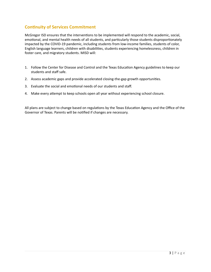# **Continuity of Services Commitment**

McGregor ISD ensures that the interventions to be implemented will respond to the academic, social, emotional, and mental health needs of all students, and particularly those students disproportionately impacted by the COVID-19 pandemic, including students from low-income families, students of color, English language learners, children with disabilities, students experiencing homelessness, children in foster care, and migratory students. MISD will:

- 1. Follow the Center for Disease and Control and the Texas Education Agency guidelines to keep our students and staff safe.
- 2. Assess academic gaps and provide accelerated closing-the-gap growth opportunities.
- 3. Evaluate the social and emotional needs of our students and staff.
- 4. Make every attempt to keep schools open all year without experiencing school closure.

All plans are subject to change based on regulations by the Texas Education Agency and the Office of the Governor of Texas. Parents will be notified if changes are necessary.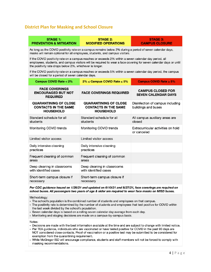# **District Plan for Masking and School Closure**

**STAGE 1:** 

**PREVENTION & MITIGATION** 

| STAGE 2:                   |
|----------------------------|
| <b>MODIFIED OPERATIONS</b> |

**STAGE 3: CAMPUS CLOSURE** 

As long as the COVID positivity rate on a campus remains below 2% during a period of seven calendar days, masks will remain optional for all employees, students, and campus visitors.

If the COVID positivity rate on a campus reaches or exceeds 2% within a seven calendar day period, all employees, students, and campus visitors will be required to wear a face covering for seven calendar days or until the positivity rate drops below 2%, whichever is longer.

If the COVID positivity rate on a campus reaches or exceeds 5% within a seven calendar day period, the campus will be closed for a period of seven calendar days.

| <b>Campus COVID Rate &lt; 2%</b>                                                | $2\% \leq$ Campus COVID Rate $\leq 5\%$                                         | Campus COVID Rate $\geq 5\%$                            |
|---------------------------------------------------------------------------------|---------------------------------------------------------------------------------|---------------------------------------------------------|
| <b>FACE COVERINGS</b><br><b>ENCOURAGED BUT NOT</b><br><b>REQUIRED</b>           | <b>FACE COVERINGS REQUIRED</b>                                                  | <b>CAMPUS CLOSED FOR</b><br><b>SEVEN CALENDAR DAYS</b>  |
| <b>QUARANTINING OF CLOSE</b><br><b>CONTACTS IN THE SAME</b><br><b>HOUSEHOLD</b> | <b>QUARANTINING OF CLOSE</b><br><b>CONTACTS IN THE SAME</b><br><b>HOUSEHOLD</b> | Disinfection of campus including<br>buildings and buses |
| Standard schedule for all<br>students                                           | Standard schedule for all<br>students                                           | All campus auxiliary areas are<br>closed                |
| Monitoring COVID trends                                                         | Monitoring COVID trends                                                         | Extracurricular activities on hold<br>or canceled       |
| Limited visitor access                                                          | Limited visitor access                                                          |                                                         |
| Daily intensive cleaning<br>practices                                           | Daily intensive cleaning<br>practices                                           |                                                         |
| Frequent cleaning of common<br>areas                                            | Frequent cleaning of common<br>areas                                            |                                                         |
| Deep cleaning in classrooms<br>with identified cases                            | Deep cleaning in classrooms<br>with identified cases                            |                                                         |
| Short-term campus closure if<br>necessary                                       | Short-term campus closure if<br>necessary                                       |                                                         |

#### Per CDC guidance issued on 1/29/21 and updated on 6/10/21 and 8/27/21, face coverings are required on school buses. All passengers two years of age & older are required to wear face masks on MISD buses.

Methodology:

• The school's population is the combined number of students and employees on that campus.

- The positivity rate is determined by the number of students and employees that test positive for COVID within the last week divided by the school's population.
- · Seven calendar days is based on a rolling seven calendar day average from each day.
- Monitoring and staging decisions are made on a campus-by-campus basis.

Notes:

- · Decisions are made with the best information available at the time and are subject to change with limited notice.
- Per TEA guidance, individuals who are vaccinated or have tested positive for COVID in the past 90 days are NOT considered close contacts. Proof of vaccination or a positive test may be submitted to be considered for exemption from the quarantining requirement.
- While McGregor ISD will encourage compliance, students and staff members will not be forced to comply with masking recommendations.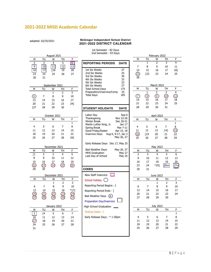# **2021-2022 MISD Academic Calendar**

adopted: 02/25/2021

#### **McGregor Independent School District 2021-2022 DISTRICT CALENDAR**

#### 1st Semester - 82 Days 2nd Semester - 93 Days

|  |                         |                |                |                |                           | zna Semester - 93 Days            |                    |                 |              |                  |                 |                                |
|--|-------------------------|----------------|----------------|----------------|---------------------------|-----------------------------------|--------------------|-----------------|--------------|------------------|-----------------|--------------------------------|
|  | August 2021             |                |                |                |                           |                                   |                    | February 2022   |              |                  |                 |                                |
|  | M                       | TU             | W              | TН             | F                         |                                   |                    | М               | TU           | W                | TН              | F                              |
|  | $\overline{2}$          | 3              | 4              | 5              | $\overline{6}$            | <b>REPORTING PERIODS</b>          | DAYS               |                 | 1            | 2                | $\overline{3}$  | $\overline{4}$                 |
|  | $\boldsymbol{9}$        | 10             | $11\,$         | 12             | 13                        |                                   |                    | 7               | 8            | 9                | 10              | 11                             |
|  |                         |                |                |                |                           |                                   |                    |                 |              |                  |                 |                                |
|  | 16                      | 17             | [18            | 19             | 20                        | 1st Six Weeks                     | 27                 | 14              | 15           | 16               | 17              | 18]                            |
|  | $\overline{23}$         | 24             | 25             | 26             | 27                        | 2nd Six Weeks                     | 25                 | $\overline{21}$ | [22          | 23               | 24              | 25                             |
|  | 30                      | 31             |                |                |                           | 3rd Six Weeks                     | 30                 | 28              |              |                  |                 |                                |
|  |                         |                |                |                |                           | 4th Six Weeks                     | 33                 |                 |              |                  |                 |                                |
|  |                         |                |                |                |                           | 5th Six Weeks                     | 33                 |                 |              |                  |                 |                                |
|  |                         |                | September 2021 |                |                           | 6th Six Weeks                     | 27                 |                 |              | March 2022       |                 |                                |
|  | М                       | TU             | W              | TН             | F                         | <b>Total School Days</b>          | 175                | М               | TU           | W                | TН              | F                              |
|  |                         |                | $\mathbf{1}$   | 2              | $\overline{\overline{3}}$ | Preparation/Inservice/Comp        | 10                 |                 | $\mathbf{1}$ | 2                | 3               | $\overline{4}$                 |
|  | $\circ$                 | $\overline{7}$ | 8              | 9              | 10                        | <b>Total Days</b>                 | 185                | $\mathcal{F}$   | $\circledS$  | $\circledcirc$   | $\overline{10}$ | $\textcircled{\scriptsize{1}}$ |
|  | 13                      | 14             | 15             | 16             | 17                        |                                   |                    | 14              | 15           | 16               | 17              | 18                             |
|  |                         |                |                |                |                           |                                   |                    | 21              | 22           |                  |                 | 25                             |
|  | 20                      | 21             | 22             | 23             | 24]                       |                                   |                    |                 |              | 23               | 24              |                                |
|  | $[27]$                  | 28             | 29             | 30             |                           | <b>STUDENT HOLIDAYS</b>           | <b>DAYS</b>        | 28              | 29           | 30               | 31              |                                |
|  |                         |                |                |                |                           |                                   |                    |                 |              |                  |                 |                                |
|  |                         |                | October 2021   |                |                           | Labor Day                         | Sep 6              |                 |              | April 2022       |                 |                                |
|  |                         |                |                |                |                           | Thanksgiving                      | Nov 22-26          |                 |              |                  |                 |                                |
|  | м                       | TU             | W              | TH             | F                         | Winter Break                      | Dec 20-31          | М               | TU           | W                | TН              | F                              |
|  |                         |                |                |                | $\mathbf{1}$              | Martin Luther King, Jr.           | Jan 17             |                 |              |                  |                 | $\mathbf{1}$                   |
|  | 4                       | 5              | 6              | 7              | 8                         | Spring Break                      | Mar 7-11           | 4               | 5            | 6                | 7               | 8                              |
|  | 11                      | 12             | 13             | 14             | 15                        | Good Friday/Easter                | Apr 15, 18         | 11              | 12           | 13               | $14$ ]          | $\overline{15}$                |
|  | 18                      | 19             | 20             | 21             | 22                        | <b>Inservice Days</b>             | Aug 6, 9-17, Jan 3 | $\overline{18}$ | [19]         | 20               | 21              | 22                             |
|  |                         |                |                |                |                           |                                   | May 26, 27         |                 |              |                  |                 |                                |
|  | 25                      | 26             | 27             | 28             | 29]                       |                                   |                    | 25              | 26           | 27               | 28              | 29                             |
|  |                         |                |                |                |                           | Early Release Days Dec 17, May 25 |                    |                 |              |                  |                 |                                |
|  |                         |                |                |                |                           |                                   |                    |                 |              |                  |                 |                                |
|  |                         |                | November 2021  |                |                           | Bad Weather Days                  | May 26, 27         |                 |              | May 2022         |                 |                                |
|  | м                       | TU             | W              | TН             | F                         | <b>MHS Graduation</b>             | May 27             | М               | TU           | W                | TН              | F                              |
|  | [1                      | 2              | 3              | $\overline{4}$ | 5                         | Last Day of School                | May 25             | $\overline{2}$  | 3            | 4                | 5               | 6                              |
|  | 8                       | 9              | 10             | 11             | 12                        |                                   |                    | 9               | 10           | 11               | 12              | 13                             |
|  | 15                      | 16             | 17             | 18             | 19                        |                                   |                    | 16              | 17           | 18               | 19              | 20                             |
|  | $\overline{22}$         |                | (24)           | (25)           | (26)                      |                                   |                    | 23              | 24           | $*251$           | 26w             | 27w                            |
|  |                         | (23)           |                |                |                           |                                   |                    |                 |              |                  |                 |                                |
|  | 29                      | 30             |                |                |                           | CODES                             |                    | 30              | 31           |                  |                 |                                |
|  |                         |                |                |                |                           | New Staff Inservice               |                    |                 |              |                  |                 |                                |
|  | December 2021           |                |                |                |                           |                                   |                    | June 2022       |              |                  |                 |                                |
|  | М                       | TU             | W              | TН             | F                         | School Holiday (                  |                    | М               | TU           | W                | TH              | F                              |
|  |                         |                | $\mathbf{1}$   | $\overline{2}$ | 3                         |                                   |                    |                 |              | $\mathbf{1}$     | $\overline{2}$  | 3                              |
|  | 6                       | 7              | 8              | 9              | $10\,$                    | Reporting Period Begins - [       |                    | 6               | 7            | 8                | 9               | 10                             |
|  | 13                      | 14             | 15             | 16             | $*17]$                    | Reporting Period Ends - ]         |                    | 13              | 14           | 15               | 16              | 17                             |
|  |                         |                | 22             |                |                           |                                   |                    | 20              | 21           | 22               | 23              | 24                             |
|  |                         | 21             |                | 23             | 24                        | <b>Bad Weather Days</b><br>(w)    |                    |                 |              |                  |                 |                                |
|  |                         |                | 29             |                | $\overline{31}$           |                                   |                    | 27              | 28           | 29               | 30              |                                |
|  |                         |                |                |                |                           | <b>Preparation Day/Inservice</b>  |                    |                 |              |                  |                 |                                |
|  |                         |                | January 2022   |                |                           |                                   |                    |                 |              | <b>July 2022</b> |                 |                                |
|  |                         |                |                |                |                           | High School Graduation            |                    |                 |              |                  |                 |                                |
|  | M                       | TU             | W              | <u>тн</u>      | F.                        | Testing Dates - t                 |                    | М               | TU           | W                | TH              | F                              |
|  | $\overline{\mathbf{3}}$ | [4]            | 5              | 6              | $\overline{7}$            |                                   |                    |                 |              |                  |                 | $\mathbf{1}$                   |
|  | 10                      | 11             | 12             | 13             | 14                        | Early Release Days - * 1:30pm     |                    | 4               | 5            | 6                | 7               | 8                              |
|  | $\overline{17}$         | 18             | 19             | 20             | 21                        |                                   |                    | 11              | 12           | 13               | 14              | 15                             |
|  | 24                      | 25             | 26             | 27             | 28                        |                                   |                    | 18              | 19           | 20               | 21              | 22                             |
|  |                         |                |                |                |                           |                                   |                    | 25              | 26           | 27               | 28              | 29                             |
|  |                         |                |                |                |                           |                                   |                    |                 |              |                  |                 |                                |
|  | 31                      |                |                |                |                           |                                   |                    |                 |              |                  |                 |                                |
|  |                         |                |                |                |                           |                                   |                    |                 |              |                  |                 |                                |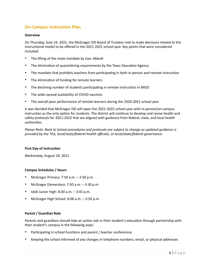# **On-Campus Instruction Plan**

## **Overview**

On Thursday, June 24, 2021, the McGregor ISD Board of Trustees met to make decisions related to the instructional model to be offered in the 2021-2022 school year. Key points that were considered included:

- The lifting of the mask mandate by Gov. Abbott
- The elimination of quarantining requirements by the Texas Education Agency
- The mandate that prohibits teachers from participating in both in-person and remote instruction
- The elimination of funding for remote learners
- The declining number of students participating in remote instruction in MISD
- The wide-spread availability of COVID vaccines
- The overall poor performance of remote learners during the 2020-2021 school year

It was decided that McGregor ISD will open the 2021-2022 school year with in-person/on-campus instruction as the only option for students. The district will continue to develop and revise health and safety protocols for 2021-2022 that are aligned with guidance from federal, state, and local health authorities.

*Please Note: Back to School procedures and protocols are subject to change as updated guidance is provided by the TEA, local/state/federal health officials, or local/state/federal governance.* 

## **First Day of Instruction**

Wednesday, August 18, 2021

## **Campus Schedules / Hours**

- McGregor Primary: 7:50 a.m. 3:30 p.m.
- McGregor Elementary: 7:50 a.m. 3:30 p.m.
- Isbill Junior High:  $8:00$  a.m.  $-3:45$  p.m.
- McGregor High School: 8:00 a.m. 3:50 p.m.

# **Parent / Guardian Role**

Parents and guardians should take an active role in their student's education through partnership with their student's campus in the following ways:

- Participating in school functions and parent / teacher conferences
- Keeping the school informed of any changes in telephone numbers, email, or physical addresses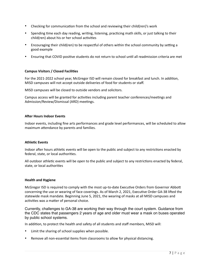- Checking for communication from the school and reviewing their child(ren)'s work
- Spending time each day reading, writing, listening, practicing math skills, or just talking to their child(ren) about his or her school activities
- Encouraging their child(ren) to be respectful of others within the school community by setting a good example
- Ensuring that COVID positive students do not return to school until all readmission criteria are met

## **Campus Visitors / Closed Facilities**

For the 2021-2022 school year, McGregor ISD will remain closed for breakfast and lunch. In addition, MISD campuses will not accept outside deliveries of food for students or staff.

MISD campuses will be closed to outside vendors and solicitors.

Campus access will be granted for activities including parent teacher conferences/meetings and Admission/Review/Dismissal (ARD) meetings.

#### **After Hours Indoor Events**

Indoor events, including fine arts performances and grade level performances, will be scheduled to allow maximum attendance by parents and families.

#### **Athletic Events**

Indoor after hours athletic events will be open to the public and subject to any restrictions enacted by federal, state, or local authorities.

All outdoor athletic events will be open to the public and subject to any restrictions enacted by federal, state, or local authorities

#### **Health and Hygiene**

McGregor ISD is required to comply with the most up-to-date Executive Orders from Governor Abbott concerning the use or wearing of face coverings. As of March 2, 2021, Executive Order GA-38 lifted the statewide mask mandate. Beginning June 5, 2021, the wearing of masks at all MISD campuses and activities was a matter of personal choice.

Currently, challenges to GA-38 are working their way through the court system. Guidance from the CDC states that passengers 2 years of age and older must wear a mask on buses operated by public school systems.

In addition, to protect the health and safety of all students and staff members, MISD will:

- Limit the sharing of school supplies when possible.
- Remove all non-essential items from classrooms to allow for physical distancing.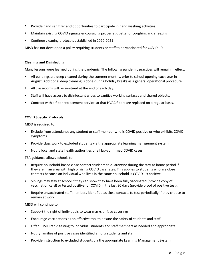- Provide hand sanitizer and opportunities to participate in hand washing activities.
- Maintain existing COVID signage encouraging proper etiquette for coughing and sneezing.
- Continue cleaning protocols established in 2020-2021

MISD has not developed a policy requiring students or staff to be vaccinated for COVID-19.

#### **Cleaning and Disinfecting**

Many lessons were learned during the pandemic. The following pandemic practices will remain in effect:

- All buildings are deep cleaned during the summer months, prior to school opening each year in August. Additional deep cleaning is done during holiday breaks as a general operational procedure.
- All classrooms will be sanitized at the end of each day.
- Staff will have access to disinfectant wipes to sanitize working surfaces and shared objects.
- Contract with a filter replacement service so that HVAC filters are replaced on a regular basis.

#### **COVID Specific Protocols**

MISD is required to:

- Exclude from attendance any student or staff member who is COVID positive or who exhibits COVID symptoms
- Provide class work to excluded students via the appropriate learning management system
- Notify local and state health authorities of all lab-confirmed COVID cases

TEA guidance allows schools to:

- Require household-based close contact students to quarantine during the stay-at-home period if they are in an area with high or rising COVID case rates. This applies to students who are close contacts because an individual who lives in the same household is COVID-19 positive.
- Siblings may stay at school if they can show they have been fully vaccinated (provide copy of vaccination card) or tested positive for COVID in the last 90 days (provide proof of positive test).
- Require unvaccinated staff members identified as close contacts to test periodically if they choose to remain at work.

#### MISD will continue to:

- Support the right of individuals to wear masks or face coverings
- Encourage vaccinations as an effective tool to ensure the safety of students and staff
- Offer COVID rapid testing to individual students and staff members as needed and appropriate
- Notify families of positive cases identified among students and staff
- Provide instruction to excluded students via the appropriate Learning Management System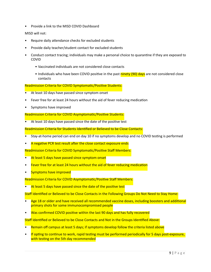• Provide a link to the MISD COVID Dashboard

# MISD will not:

- Require daily attendance checks for excluded students
- Provide daily teacher/student contact for excluded students
- Conduct contact tracing; individuals may make a personal choice to quarantine if they are exposed to COVID
	- Vaccinated individuals are not considered close contacts
	- Individuals who have been COVID positive in the past ninety (90) days are not considered close contacts
- Readmission Criteria for COVID Symptomatic/Positive Students:
- At least 10 days have passed since symptom onset
- Fever free for at least 24 hours without the aid of fever reducing medication
- Symptoms have improved

Readmission Criteria for COVID Asymptomatic/Positive Students:

• At least 10 days have passed since the date of the positive test

Readmission Criteria for Students Identified or Believed to be Close Contacts:

- Stay-at-home period can end on day 10 if no symptoms develop and no COVID testing is performed
- A negative PCR test result after the close contact exposure ends

Readmission Criteria for COVID Symptomatic/Positive Staff Members:

- At least 5 days have passed since symptom onset
- Fever free for at least 24 hours without the aid of fever reducing medication
- Symptoms have improved

Readmission Criteria for COVID Asymptomatic/Positive Staff Members:

At least 5 days have passed since the date of the positive test

Staff Identified or Believed to be Close Contacts in the Following Groups Do Not Need to Stay Home:

- Age 18 or older and have received all recommended vaccine doses, including boosters and additional primary shots for some immunocompromised people
- Was confirmed COVID positive within the last 90 days and has fully recovered

Staff Identified or Believed to be Close Contacts and Not in the Groups Identified Above:

- Remain off campus at least 5 days; if symptoms develop follow the criteria listed above
- If opting to continue to work, rapid testing must be performed periodically for 5 days post-exposure, with testing on the 5th day recommended